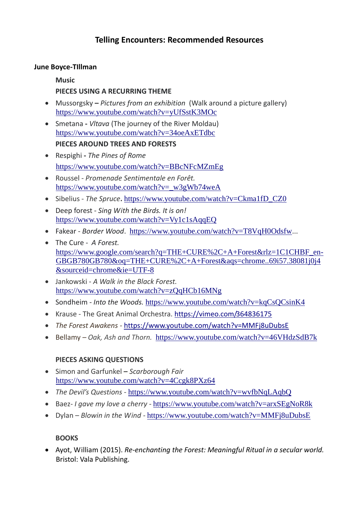# **Telling Encounters: Recommended Resources**

#### **June Boyce-TIllman**

#### **Music**

## **PIECES USING A RECURRING THEME**

- Mussorgsky **–** *Pictures from an exhibition* (Walk around a picture gallery) <https://www.youtube.com/watch?v=yUfSstK3MOc>
- Smetana **-** *Vltava* (The journey of the River Moldau) <https://www.youtube.com/watch?v=34oeAxETdbc> **PIECES AROUND TREES AND FORESTS**
- Respighi **-** *The Pines of Rome*  <https://www.youtube.com/watch?v=BBcNFcMZmEg>
- Roussel *Promenade Sentimentale en Forêt.* [https://www.youtube.com/watch?v=\\_w3gWb74weA](https://www.youtube.com/watch?v=_w3gWb74weA)
- Sibelius *The Spruce***.** [https://www.youtube.com/watch?v=Ckma1fD\\_CZ0](https://www.youtube.com/watch?v=Ckma1fD_CZ0)
- Deep forest *Sing With the Birds. It is on!*  <https://www.youtube.com/watch?v=Vy1c1sAqqEQ>
- Fakear *Border Wood*. <https://www.youtube.com/watch?v=T8VqH0Odsfw>...
- The Cure *A Forest.*  [https://www.google.com/search?q=THE+CURE%2C+A+Forest&rlz=1C1CHBF\\_en-](https://www.google.com/search?q=THE+CURE%2C+A+Forest&rlz=1C1CHBF_en-GBGB780GB780&oq=THE+CURE%2C+A+Forest&aqs=chrome..69i57.38081j0j4&sourceid=chrome&ie=UTF-8)[GBGB780GB780&oq=THE+CURE%2C+A+Forest&aqs=chrome..69i57.38081j0j4](https://www.google.com/search?q=THE+CURE%2C+A+Forest&rlz=1C1CHBF_en-GBGB780GB780&oq=THE+CURE%2C+A+Forest&aqs=chrome..69i57.38081j0j4&sourceid=chrome&ie=UTF-8) [&sourceid=chrome&ie=UTF-8](https://www.google.com/search?q=THE+CURE%2C+A+Forest&rlz=1C1CHBF_en-GBGB780GB780&oq=THE+CURE%2C+A+Forest&aqs=chrome..69i57.38081j0j4&sourceid=chrome&ie=UTF-8)
- Jankowski *A Walk in the Black Forest.* <https://www.youtube.com/watch?v=zQqHCb16MNg>
- Sondheim *Into the Woods.* <https://www.youtube.com/watch?v=kqCsQCsinK4>
- Krause The Great Animal Orchestra. <https://vimeo.com/364836175>
- *The Forest Awakens -* <https://www.youtube.com/watch?v=MMFj8uDubsE>
- Bellamy  *Oak, Ash and Thorn.* <https://www.youtube.com/watch?v=46VHdzSdB7k>

#### **PIECES ASKING QUESTIONS**

- Simon and Garfunkel **–** *Scarborough Fair*  <https://www.youtube.com/watch?v=4Ccgk8PXz64>
- *The Devil's Questions -* <https://www.youtube.com/watch?v=wvfbNqLAqbQ>
- Baez- *I gave my love a cherry -* <https://www.youtube.com/watch?v=arxSEgNoR8k>
- Dylan *Blowin in the Wind -* <https://www.youtube.com/watch?v=MMFj8uDubsE>

#### **BOOKS**

 Ayot, William (2015). *Re-enchanting the Forest: Meaningful Ritual in a secular world.*  Bristol: Vala Publishing.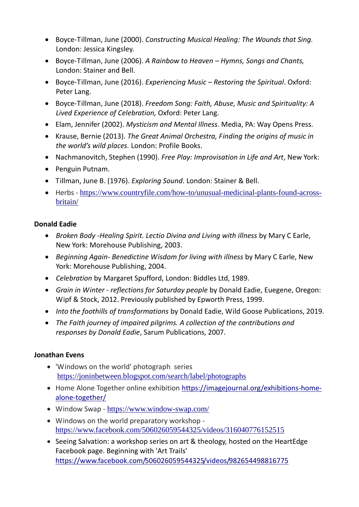- Boyce-Tillman, June (2000). *Constructing Musical Healing: The Wounds that Sing.*  London: Jessica Kingsley.
- Boyce-Tillman, June (2006). *A Rainbow to Heaven – Hymns, Songs and Chants,*  London: Stainer and Bell.
- Boyce-Tillman, June (2016). *Experiencing Music – Restoring the Spiritual*. Oxford: Peter Lang.
- Boyce-Tillman, June (2018). *Freedom Song: Faith, Abuse, Music and Spirituality: A Lived Experience of Celebration,* Oxford: Peter Lang.
- Elam, Jennifer (2002). *Mysticism and Mental Illness*. Media, PA: Way Opens Press.
- Krause, Bernie (2013). *The Great Animal Orchestra, Finding the origins of music in the world's wild places.* London: Profile Books.
- Nachmanovitch, Stephen (1990). *Free Play: Improvisation in Life and Art*, New York:
- Penguin Putnam.
- Tillman, June B. (1976). *Exploring Sound*. London: Stainer & Bell.
- Herbs [https://www.countryfile.com/how-to/unusual-medicinal-plants-found-across](https://www.countryfile.com/how-to/unusual-medicinal-plants-found-across-britain/)[britain/](https://www.countryfile.com/how-to/unusual-medicinal-plants-found-across-britain/)

### **Donald Eadie**

- *Broken Body -Healing Spirit. Lectio Divina and Living with illness* by Mary C Earle, New York: Morehouse Publishing, 2003.
- *Beginning Again- Benedictine Wisdom for living with illness* by Mary C Earle, New York: Morehouse Publishing, 2004.
- *Celebration* by Margaret Spufford, London: Biddles Ltd, 1989.
- *Grain in Winter - reflections for Saturday people* by Donald Eadie, Euegene, Oregon: Wipf & Stock, 2012. Previously published by Epworth Press, 1999.
- *Into the foothills of transformations* by Donald Eadie, Wild Goose Publications, 2019.
- *The Faith journey of impaired pilgrims. A collection of the contributions and responses by Donald Eadie*, Sarum Publications, 2007.

# **Jonathan Evens**

- 'Windows on the world' photograph series <https://joninbetween.blogspot.com/search/label/photographs>
- Home Alone Together online exhibition [https://imagejournal.org/exhibitions-home](https://imagejournal.org/exhibitions-home-alone-together/)[alone-together/](https://imagejournal.org/exhibitions-home-alone-together/)
- Window Swap <https://www.window-swap.com/>
- Windows on the world preparatory workshop <https://www.facebook.com/506026059544325/videos/316040776152515>
- Seeing Salvation: a workshop series on art & theology, hosted on the HeartEdge Facebook page. Beginning with 'Art Trails' <https://www.facebook.com/506026059544325/videos/982654498816775>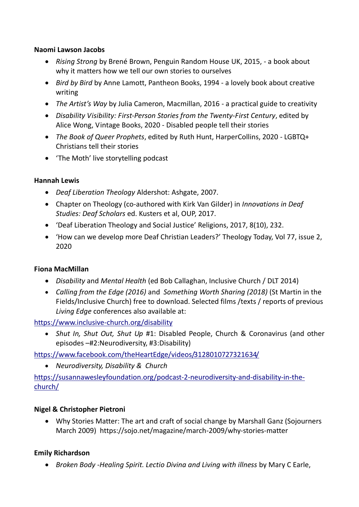#### **Naomi Lawson Jacobs**

- *Rising Strong* by Brené Brown, Penguin Random House UK, 2015, a book about why it matters how we tell our own stories to ourselves
- *Bird by Bird* by Anne Lamott, Pantheon Books, 1994 a lovely book about creative writing
- *The Artist's Way* by Julia Cameron, Macmillan, 2016 a practical guide to creativity
- *Disability Visibility: First-Person Stories from the Twenty-First Century*, edited by Alice Wong, Vintage Books, 2020 - Disabled people tell their stories
- *The Book of Queer Prophets*, edited by Ruth Hunt, HarperCollins, 2020 LGBTQ+ Christians tell their stories
- 'The Moth' live storytelling podcast

### **Hannah Lewis**

- *Deaf Liberation Theology* Aldershot: Ashgate, 2007.
- Chapter on Theology (co-authored with Kirk Van Gilder) in *Innovations in Deaf Studies: Deaf Scholars* ed. Kusters et al, OUP, 2017.
- 'Deaf Liberation Theology and Social Justice' Religions, 2017, 8(10), 232.
- 'How can we develop more Deaf Christian Leaders?' Theology Today, Vol 77, issue 2, 2020

# **Fiona MacMillan**

- *Disability* and *Mental Health* (ed Bob Callaghan, Inclusive Church / DLT 2014)
- *Calling from the Edge (2016)* and *Something Worth Sharing (2018)* (St Martin in the Fields/Inclusive Church) free to download. Selected films /texts / reports of previous *Living Edge* conferences also available at:

<https://www.inclusive-church.org/disability>

 *Shut In, Shut Out, Shut Up* #1: Disabled People, Church & Coronavirus (and other episodes –#2:Neurodiversity, #3:Disability)

<https://www.facebook.com/theHeartEdge/videos/3128010727321634/>

*Neurodiversity, Disability & Church* 

[https://susannawesleyfoundation.org/podcast-2-neurodiversity-and-disability-in-the](https://susannawesleyfoundation.org/podcast-2-neurodiversity-and-disability-in-the-church/)[church/](https://susannawesleyfoundation.org/podcast-2-neurodiversity-and-disability-in-the-church/)

# **Nigel & Christopher Pietroni**

 Why Stories Matter: The art and craft of social change by Marshall Ganz (Sojourners March 2009) https://sojo.net/magazine/march-2009/why-stories-matter

# **Emily Richardson**

*Broken Body -Healing Spirit. Lectio Divina and Living with illness* by Mary C Earle,